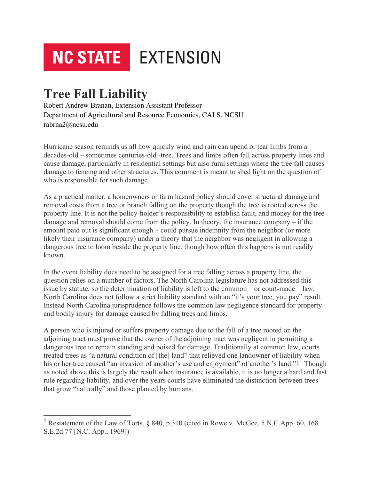## **NC STATE** EXTENSION

## **Tree Fall Liability**

Robert Andrew Branan, Extension Assistant Professor Department of Agricultural and Resource Economics, CALS, NCSU rabrna2@ncsu.edu

Hurricane season reminds us all how quickly wind and rain can upend or tear limbs from a decades-old – sometimes centuries-old -tree. Trees and limbs often fall across property lines and cause damage, particularly in residential settings but also rural settings where the tree fall causes damage to fencing and other structures. This comment is meant to shed light on the question of who is responsible for such damage.

As a practical matter, a homeowners or farm hazard policy should cover structural damage and removal costs from a tree or branch falling on the property though the tree is rooted across the property line. It is not the policy-holder's responsibility to establish fault, and money for the tree damage and removal should come from the policy. In theory, the insurance company – if the amount paid out is significant enough – could pursue indemnity from the neighbor (or more likely their insurance company) under a theory that the neighbor was negligent in allowing a dangerous tree to loom beside the property line, though how often this happens is not readily known.

In the event liability does need to be assigned for a tree falling across a property line, the question relies on a number of factors. The North Carolina legislature has not addressed this issue by statute, so the determination of liability is left to the common – or court-made – law. North Carolina does not follow a strict liability standard with an "it's your tree, you pay" result. Instead North Carolina jurisprudence follows the common law negligence standard for property and bodily injury for damage caused by falling trees and limbs.

A person who is injured or suffers property damage due to the fall of a tree rooted on the adjoining tract must prove that the owner of the adjoining tract was negligent in permitting a dangerous tree to remain standing and poised for damage. Traditionally at common law, courts treated trees as "a natural condition of [the] land" that relieved one landowner of liability when his or her tree caused "an invasion of another's use and enjoyment" of another's land." $1^1$  Though as noted above this is largely the result when insurance is available, it is no longer a hard and fast rule regarding liability, and over the years courts have eliminated the distinction between trees that grow "naturally" and those planted by humans.

 <sup>1</sup> Restatement of the Law of Torts, § 840, p.310 (cited in Rowe v. McGee, 5 N.C.App. 60, 168 S.E.2d 77 [N.C. App., 1969])